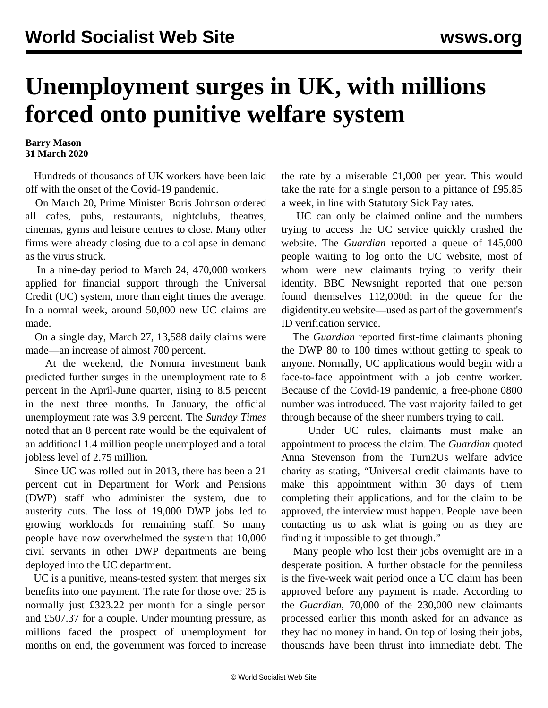## **Unemployment surges in UK, with millions forced onto punitive welfare system**

**Barry Mason 31 March 2020**

 Hundreds of thousands of UK workers have been laid off with the onset of the Covid-19 pandemic.

 On March 20, Prime Minister Boris Johnson ordered all cafes, pubs, restaurants, nightclubs, theatres, cinemas, gyms and leisure centres to close. Many other firms were already closing due to a collapse in demand as the virus struck.

 In a nine-day period to March 24, 470,000 workers applied for financial support through the Universal Credit (UC) system, more than eight times the average. In a normal week, around 50,000 new UC claims are made.

 On a single day, March 27, 13,588 daily claims were made—an increase of almost 700 percent.

 At the weekend, the Nomura investment bank predicted further surges in the unemployment rate to 8 percent in the April-June quarter, rising to 8.5 percent in the next three months. In January, the official unemployment rate was 3.9 percent. The *Sunday Times* noted that an 8 percent rate would be the equivalent of an additional 1.4 million people unemployed and a total jobless level of 2.75 million.

 Since UC was rolled out in 2013, there has been a 21 percent cut in Department for Work and Pensions (DWP) staff who administer the system, due to austerity cuts. The loss of 19,000 DWP jobs led to growing workloads for remaining staff. So many people have now overwhelmed the system that 10,000 civil servants in other DWP departments are being deployed into the UC department.

 UC is a punitive, means-tested system that merges six benefits into one payment. The rate for those over 25 is normally just £323.22 per month for a single person and £507.37 for a couple. Under mounting pressure, as millions faced the prospect of unemployment for months on end, the government was forced to increase the rate by a miserable £1,000 per year. This would take the rate for a single person to a pittance of £95.85 a week, in line with Statutory Sick Pay rates.

 UC can only be claimed online and the numbers trying to access the UC service quickly crashed the website. The *Guardian* reported a queue of 145,000 people waiting to log onto the UC website, most of whom were new claimants trying to verify their identity. BBC Newsnight reported that one person found themselves 112,000th in the queue for the digidentity.eu website—used as part of the government's ID verification service.

 The *Guardian* reported first-time claimants phoning the DWP 80 to 100 times without getting to speak to anyone. Normally, UC applications would begin with a face-to-face appointment with a job centre worker. Because of the Covid-19 pandemic, a free-phone 0800 number was introduced. The vast majority failed to get through because of the sheer numbers trying to call.

 Under UC rules, claimants must make an appointment to process the claim. The *Guardian* quoted Anna Stevenson from the Turn2Us welfare advice charity as stating, "Universal credit claimants have to make this appointment within 30 days of them completing their applications, and for the claim to be approved, the interview must happen. People have been contacting us to ask what is going on as they are finding it impossible to get through."

 Many people who lost their jobs overnight are in a desperate position. A further obstacle for the penniless is the five-week wait period once a UC claim has been approved before any payment is made. According to the *Guardian*, 70,000 of the 230,000 new claimants processed earlier this month asked for an advance as they had no money in hand. On top of losing their jobs, thousands have been thrust into immediate debt. The